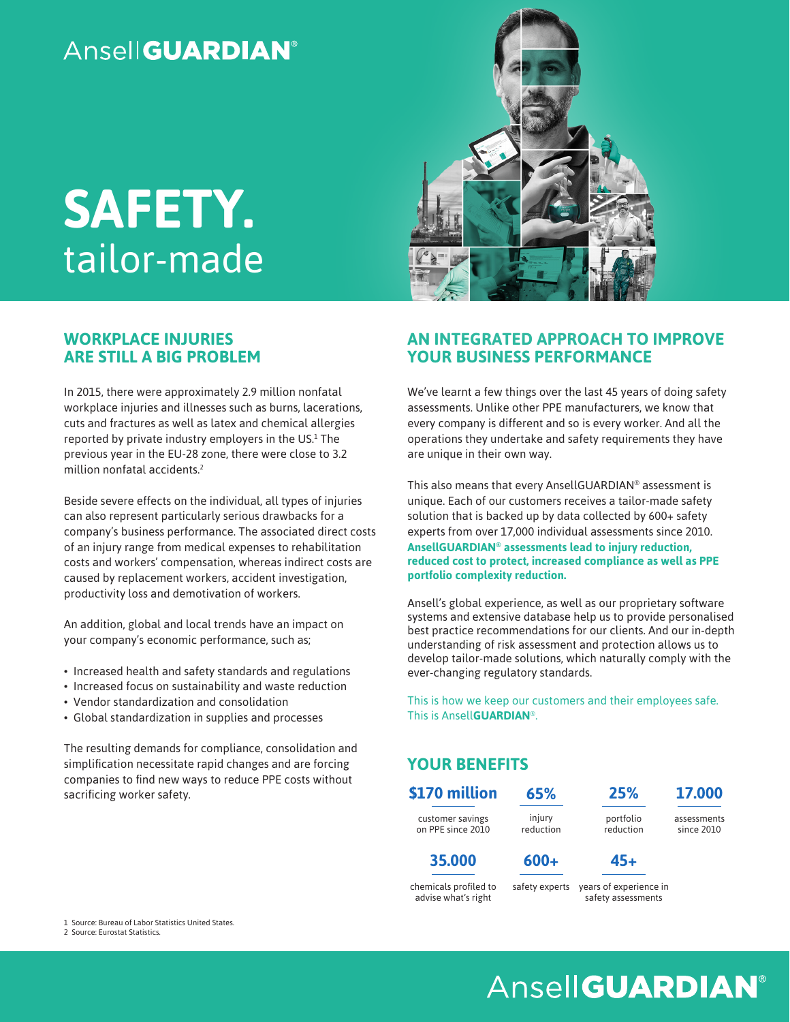# **Ansell GUARDIAN®**

# **SAFETY.** tailor-made

## **WORKPLACE INJURIES ARE STILL A BIG PROBLEM**

In 2015, there were approximately 2.9 million nonfatal workplace injuries and illnesses such as burns, lacerations, cuts and fractures as well as latex and chemical allergies reported by private industry employers in the US.<sup>1</sup> The previous year in the EU-28 zone, there were close to 3.2 million nonfatal accidents.2

Beside severe effects on the individual, all types of injuries can also represent particularly serious drawbacks for a company's business performance. The associated direct costs of an injury range from medical expenses to rehabilitation costs and workers' compensation, whereas indirect costs are caused by replacement workers, accident investigation, productivity loss and demotivation of workers.

An addition, global and local trends have an impact on your company's economic performance, such as;

- Increased health and safety standards and regulations
- Increased focus on sustainability and waste reduction
- Vendor standardization and consolidation
- Global standardization in supplies and processes

The resulting demands for compliance, consolidation and simplification necessitate rapid changes and are forcing companies to find new ways to reduce PPE costs without sacrificing worker safety.



#### **AN INTEGRATED APPROACH TO IMPROVE YOUR BUSINESS PERFORMANCE**

We've learnt a few things over the last 45 years of doing safety assessments. Unlike other PPE manufacturers, we know that every company is different and so is every worker. And all the operations they undertake and safety requirements they have are unique in their own way.

This also means that every AnsellGUARDIAN® assessment is unique. Each of our customers receives a tailor-made safety solution that is backed up by data collected by 600+ safety experts from over 17,000 individual assessments since 2010. **AnsellGUARDIAN® assessments lead to injury reduction, reduced cost to protect, increased compliance as well as PPE portfolio complexity reduction.** 

Ansell's global experience, as well as our proprietary software systems and extensive database help us to provide personalised best practice recommendations for our clients. And our in-depth understanding of risk assessment and protection allows us to develop tailor-made solutions, which naturally comply with the ever-changing regulatory standards.

This is how we keep our customers and their employees safe. This is Ansell**GUARDIAN**®.

## **YOUR BENEFITS**



1 Source: Bureau of Labor Statistics United States. 2 Source: Eurostat Statistics.

# **Ansell GUARDIAN®**